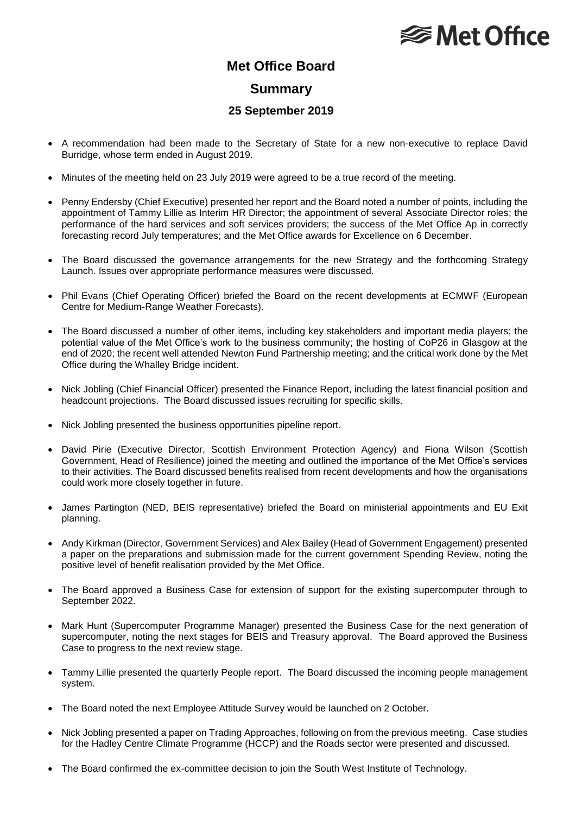## **<del></del>** Met Office

### **Met Office Board**

#### **Summary**

#### **25 September 2019**

- A recommendation had been made to the Secretary of State for a new non-executive to replace David Burridge, whose term ended in August 2019.
- Minutes of the meeting held on 23 July 2019 were agreed to be a true record of the meeting.
- Penny Endersby (Chief Executive) presented her report and the Board noted a number of points, including the appointment of Tammy Lillie as Interim HR Director; the appointment of several Associate Director roles; the performance of the hard services and soft services providers; the success of the Met Office Ap in correctly forecasting record July temperatures; and the Met Office awards for Excellence on 6 December.
- The Board discussed the governance arrangements for the new Strategy and the forthcoming Strategy Launch. Issues over appropriate performance measures were discussed.
- Phil Evans (Chief Operating Officer) briefed the Board on the recent developments at ECMWF (European Centre for Medium-Range Weather Forecasts).
- The Board discussed a number of other items, including key stakeholders and important media players; the potential value of the Met Office's work to the business community; the hosting of CoP26 in Glasgow at the end of 2020; the recent well attended Newton Fund Partnership meeting; and the critical work done by the Met Office during the Whalley Bridge incident.
- Nick Jobling (Chief Financial Officer) presented the Finance Report, including the latest financial position and headcount projections. The Board discussed issues recruiting for specific skills.
- Nick Jobling presented the business opportunities pipeline report.
- David Pirie (Executive Director, Scottish Environment Protection Agency) and Fiona Wilson (Scottish Government, Head of Resilience) joined the meeting and outlined the importance of the Met Office's services to their activities. The Board discussed benefits realised from recent developments and how the organisations could work more closely together in future.
- James Partington (NED, BEIS representative) briefed the Board on ministerial appointments and EU Exit planning.
- Andy Kirkman (Director, Government Services) and Alex Bailey (Head of Government Engagement) presented a paper on the preparations and submission made for the current government Spending Review, noting the positive level of benefit realisation provided by the Met Office.
- The Board approved a Business Case for extension of support for the existing supercomputer through to September 2022.
- Mark Hunt (Supercomputer Programme Manager) presented the Business Case for the next generation of supercomputer, noting the next stages for BEIS and Treasury approval. The Board approved the Business Case to progress to the next review stage.
- Tammy Lillie presented the quarterly People report. The Board discussed the incoming people management system.
- The Board noted the next Employee Attitude Survey would be launched on 2 October.
- Nick Jobling presented a paper on Trading Approaches, following on from the previous meeting. Case studies for the Hadley Centre Climate Programme (HCCP) and the Roads sector were presented and discussed.
- The Board confirmed the ex-committee decision to join the South West Institute of Technology.